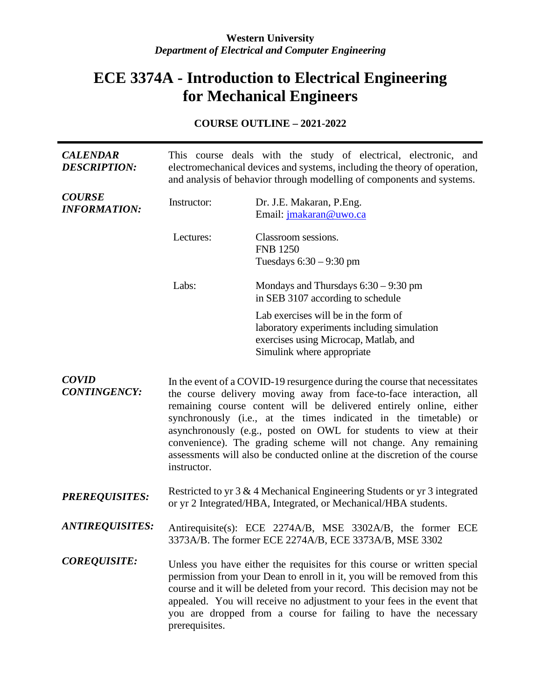### **Western University** *Department of Electrical and Computer Engineering*

# **ECE 3374A - Introduction to Electrical Engineering for Mechanical Engineers**

## **COURSE OUTLINE – 2021-2022**

| <b>CALENDAR</b><br><b>DESCRIPTION:</b> | This course deals with the study of electrical, electronic, and<br>electromechanical devices and systems, including the theory of operation,<br>and analysis of behavior through modelling of components and systems.                                                                                                                                                                                                                                                                                                         |                                                                                                                                                                                                                                                                                                                                                                                |
|----------------------------------------|-------------------------------------------------------------------------------------------------------------------------------------------------------------------------------------------------------------------------------------------------------------------------------------------------------------------------------------------------------------------------------------------------------------------------------------------------------------------------------------------------------------------------------|--------------------------------------------------------------------------------------------------------------------------------------------------------------------------------------------------------------------------------------------------------------------------------------------------------------------------------------------------------------------------------|
| <b>COURSE</b><br><b>INFORMATION:</b>   | Instructor:                                                                                                                                                                                                                                                                                                                                                                                                                                                                                                                   | Dr. J.E. Makaran, P.Eng.<br>Email: jmakaran@uwo.ca                                                                                                                                                                                                                                                                                                                             |
|                                        | Lectures:                                                                                                                                                                                                                                                                                                                                                                                                                                                                                                                     | Classroom sessions.<br><b>FNB 1250</b><br>Tuesdays $6:30 - 9:30$ pm                                                                                                                                                                                                                                                                                                            |
|                                        | Labs:                                                                                                                                                                                                                                                                                                                                                                                                                                                                                                                         | Mondays and Thursdays $6:30 - 9:30$ pm<br>in SEB 3107 according to schedule                                                                                                                                                                                                                                                                                                    |
|                                        |                                                                                                                                                                                                                                                                                                                                                                                                                                                                                                                               | Lab exercises will be in the form of<br>laboratory experiments including simulation<br>exercises using Microcap, Matlab, and<br>Simulink where appropriate                                                                                                                                                                                                                     |
| <b>COVID</b><br><b>CONTINGENCY:</b>    | In the event of a COVID-19 resurgence during the course that necessitates<br>the course delivery moving away from face-to-face interaction, all<br>remaining course content will be delivered entirely online, either<br>synchronously (i.e., at the times indicated in the timetable) or<br>asynchronously (e.g., posted on OWL for students to view at their<br>convenience). The grading scheme will not change. Any remaining<br>assessments will also be conducted online at the discretion of the course<br>instructor. |                                                                                                                                                                                                                                                                                                                                                                                |
| <b>PREREQUISITES:</b>                  |                                                                                                                                                                                                                                                                                                                                                                                                                                                                                                                               | Restricted to yr 3 & 4 Mechanical Engineering Students or yr 3 integrated<br>or yr 2 Integrated/HBA, Integrated, or Mechanical/HBA students.                                                                                                                                                                                                                                   |
| <b>ANTIREQUISITES:</b>                 |                                                                                                                                                                                                                                                                                                                                                                                                                                                                                                                               | Antirequisite(s): ECE 2274A/B, MSE 3302A/B, the former ECE<br>3373A/B. The former ECE 2274A/B, ECE 3373A/B, MSE 3302                                                                                                                                                                                                                                                           |
| <b>COREQUISITE:</b>                    | prerequisites.                                                                                                                                                                                                                                                                                                                                                                                                                                                                                                                | Unless you have either the requisites for this course or written special<br>permission from your Dean to enroll in it, you will be removed from this<br>course and it will be deleted from your record. This decision may not be<br>appealed. You will receive no adjustment to your fees in the event that<br>you are dropped from a course for failing to have the necessary |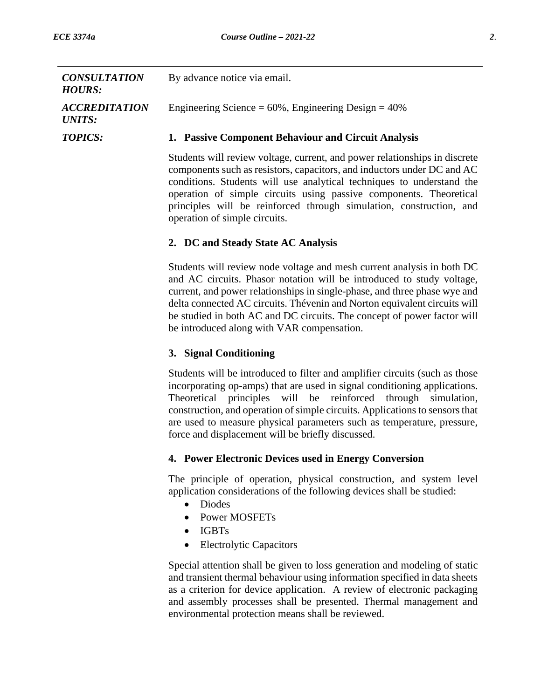| <b>CONSULTATION</b><br><b>HOURS:</b>  | By advance notice via email.                                                                                                                                                                                                                                                                                                                                                                                                             |
|---------------------------------------|------------------------------------------------------------------------------------------------------------------------------------------------------------------------------------------------------------------------------------------------------------------------------------------------------------------------------------------------------------------------------------------------------------------------------------------|
| <b>ACCREDITATION</b><br><b>UNITS:</b> | Engineering Science = $60\%$ , Engineering Design = $40\%$                                                                                                                                                                                                                                                                                                                                                                               |
| <b>TOPICS:</b>                        | 1. Passive Component Behaviour and Circuit Analysis                                                                                                                                                                                                                                                                                                                                                                                      |
|                                       | Students will review voltage, current, and power relationships in discrete<br>components such as resistors, capacitors, and inductors under DC and AC<br>conditions. Students will use analytical techniques to understand the<br>operation of simple circuits using passive components. Theoretical<br>principles will be reinforced through simulation, construction, and<br>operation of simple circuits.                             |
|                                       | 2. DC and Steady State AC Analysis                                                                                                                                                                                                                                                                                                                                                                                                       |
|                                       | Students will review node voltage and mesh current analysis in both DC<br>and AC circuits. Phasor notation will be introduced to study voltage,<br>current, and power relationships in single-phase, and three phase wye and<br>delta connected AC circuits. Thévenin and Norton equivalent circuits will<br>be studied in both AC and DC circuits. The concept of power factor will<br>be introduced along with VAR compensation.       |
|                                       | 3. Signal Conditioning                                                                                                                                                                                                                                                                                                                                                                                                                   |
|                                       | Students will be introduced to filter and amplifier circuits (such as those<br>incorporating op-amps) that are used in signal conditioning applications.<br>Theoretical principles will be reinforced through simulation,<br>construction, and operation of simple circuits. Applications to sensors that<br>are used to measure physical parameters such as temperature, pressure,<br>force and displacement will be briefly discussed. |
|                                       | 4. Power Electronic Devices used in Energy Conversion                                                                                                                                                                                                                                                                                                                                                                                    |
|                                       | The principle of operation, physical construction, and system level<br>application considerations of the following devices shall be studied:<br><b>Diodes</b><br><b>Power MOSFETs</b><br><b>IGBTs</b><br><b>Electrolytic Capacitors</b><br>$\bullet$                                                                                                                                                                                     |
|                                       | Special attention shall be given to loss generation and modeling of static<br>and transient thermal behaviour using information specified in data sheets<br>as a criterion for device application. A review of electronic packaging<br>and assembly processes shall be presented. Thermal management and<br>environmental protection means shall be reviewed.                                                                            |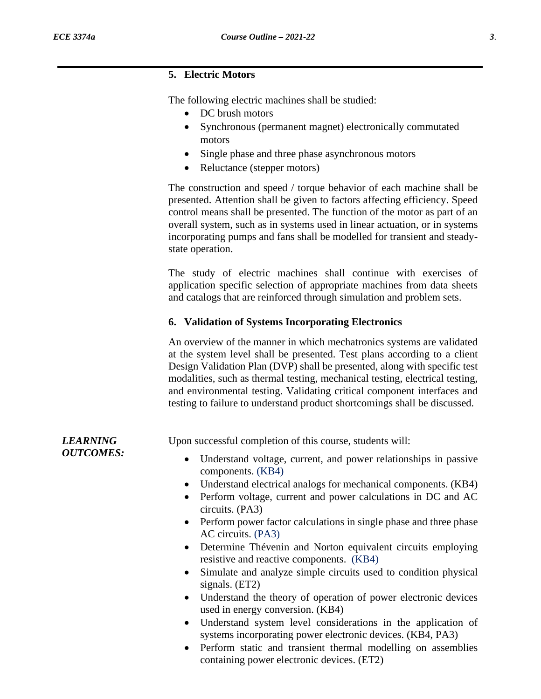#### **5. Electric Motors**

The following electric machines shall be studied:

- DC brush motors
- Synchronous (permanent magnet) electronically commutated motors
- Single phase and three phase asynchronous motors
- Reluctance (stepper motors)

The construction and speed / torque behavior of each machine shall be presented. Attention shall be given to factors affecting efficiency. Speed control means shall be presented. The function of the motor as part of an overall system, such as in systems used in linear actuation, or in systems incorporating pumps and fans shall be modelled for transient and steadystate operation.

The study of electric machines shall continue with exercises of application specific selection of appropriate machines from data sheets and catalogs that are reinforced through simulation and problem sets.

### **6. Validation of Systems Incorporating Electronics**

An overview of the manner in which mechatronics systems are validated at the system level shall be presented. Test plans according to a client Design Validation Plan (DVP) shall be presented, along with specific test modalities, such as thermal testing, mechanical testing, electrical testing, and environmental testing. Validating critical component interfaces and testing to failure to understand product shortcomings shall be discussed.

| <b>LEARNING</b><br><b>OUTCOMES:</b> | Upon successful completion of this course, students will:                                                                               |
|-------------------------------------|-----------------------------------------------------------------------------------------------------------------------------------------|
|                                     | Understand voltage, current, and power relationships in passive<br>$\bullet$<br>components. (KB4)                                       |
|                                     | Understand electrical analogs for mechanical components. (KB4)<br>$\bullet$                                                             |
|                                     | Perform voltage, current and power calculations in DC and AC<br>$\bullet$<br>circuits. (PA3)                                            |
|                                     | Perform power factor calculations in single phase and three phase<br>$\bullet$<br>AC circuits. (PA3)                                    |
|                                     | Determine Thévenin and Norton equivalent circuits employing<br>$\bullet$<br>resistive and reactive components. (KB4)                    |
|                                     | Simulate and analyze simple circuits used to condition physical<br>$\bullet$<br>signals. (ET2)                                          |
|                                     | Understand the theory of operation of power electronic devices<br>$\bullet$<br>used in energy conversion. (KB4)                         |
|                                     | Understand system level considerations in the application of<br>$\bullet$<br>systems incorporating power electronic devices. (KB4, PA3) |
|                                     |                                                                                                                                         |

• Perform static and transient thermal modelling on assemblies containing power electronic devices. (ET2)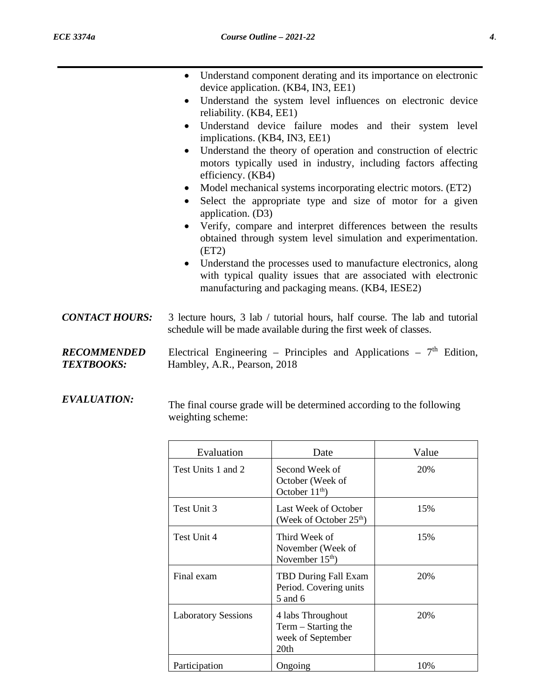|                                  |                                      | Understand component derating and its importance on electronic<br>device application. (KB4, IN3, EE1)                                                                                 |       |
|----------------------------------|--------------------------------------|---------------------------------------------------------------------------------------------------------------------------------------------------------------------------------------|-------|
|                                  | $\bullet$<br>reliability. (KB4, EE1) | Understand the system level influences on electronic device                                                                                                                           |       |
|                                  | $\bullet$                            | Understand device failure modes and their system level<br>implications. (KB4, IN3, EE1)                                                                                               |       |
|                                  | efficiency. (KB4)                    | Understand the theory of operation and construction of electric<br>motors typically used in industry, including factors affecting                                                     |       |
|                                  | ٠<br>٠<br>application. (D3)          | Model mechanical systems incorporating electric motors. (ET2)<br>Select the appropriate type and size of motor for a given                                                            |       |
|                                  | $\bullet$<br>(ET2)                   | Verify, compare and interpret differences between the results<br>obtained through system level simulation and experimentation.                                                        |       |
|                                  | $\bullet$                            | Understand the processes used to manufacture electronics, along<br>with typical quality issues that are associated with electronic<br>manufacturing and packaging means. (KB4, IESE2) |       |
| <b>CONTACT HOURS:</b>            |                                      | 3 lecture hours, 3 lab / tutorial hours, half course. The lab and tutorial<br>schedule will be made available during the first week of classes.                                       |       |
| RECOMMENDED<br><b>TEXTBOOKS:</b> | Hambley, A.R., Pearson, 2018         | Electrical Engineering – Principles and Applications – $7th$ Edition,                                                                                                                 |       |
| <b>EVALUATION:</b>               | weighting scheme:                    | The final course grade will be determined according to the following                                                                                                                  |       |
|                                  | Evaluation                           | Date                                                                                                                                                                                  | Value |
|                                  | Test Units 1 and 2                   | Second Week of<br>October (Week of<br>October $11th$ )                                                                                                                                | 20%   |
|                                  | Test Unit 3                          | Last Week of October<br>(Week of October 25 <sup>th</sup> )                                                                                                                           | 15%   |
|                                  | Test Unit 4                          | Third Week of<br>November (Week of                                                                                                                                                    | 15%   |

November  $15<sup>th</sup>$ )

5 and 6

20th

Period. Covering units

Term – Starting the week of September

Participation | Ongoing | 10%

20%

20%

Final exam TBD During Fall Exam

Laboratory Sessions | 4 labs Throughout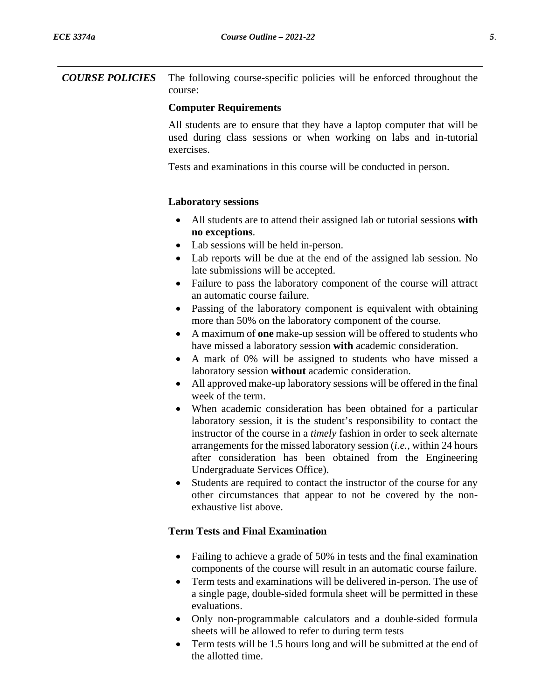*COURSE POLICIES* The following course-specific policies will be enforced throughout the course:

#### **Computer Requirements**

All students are to ensure that they have a laptop computer that will be used during class sessions or when working on labs and in-tutorial exercises.

Tests and examinations in this course will be conducted in person.

#### **Laboratory sessions**

- All students are to attend their assigned lab or tutorial sessions **with no exceptions**.
- Lab sessions will be held in-person.
- Lab reports will be due at the end of the assigned lab session. No late submissions will be accepted.
- Failure to pass the laboratory component of the course will attract an automatic course failure.
- Passing of the laboratory component is equivalent with obtaining more than 50% on the laboratory component of the course.
- A maximum of **one** make-up session will be offered to students who have missed a laboratory session **with** academic consideration.
- A mark of 0% will be assigned to students who have missed a laboratory session **without** academic consideration.
- All approved make-up laboratory sessions will be offered in the final week of the term.
- When academic consideration has been obtained for a particular laboratory session, it is the student's responsibility to contact the instructor of the course in a *timely* fashion in order to seek alternate arrangements for the missed laboratory session (*i.e.*, within 24 hours after consideration has been obtained from the Engineering Undergraduate Services Office).
- Students are required to contact the instructor of the course for any other circumstances that appear to not be covered by the nonexhaustive list above.

### **Term Tests and Final Examination**

- Failing to achieve a grade of 50% in tests and the final examination components of the course will result in an automatic course failure.
- Term tests and examinations will be delivered in-person. The use of a single page, double-sided formula sheet will be permitted in these evaluations.
- Only non-programmable calculators and a double-sided formula sheets will be allowed to refer to during term tests
- Term tests will be 1.5 hours long and will be submitted at the end of the allotted time.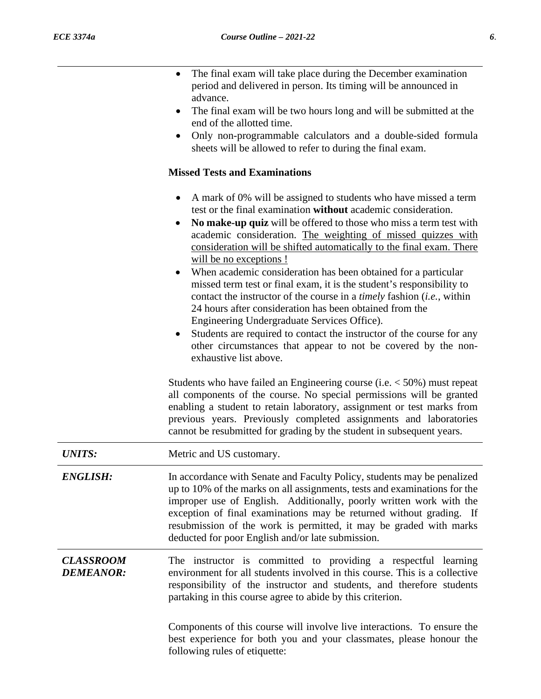|                                      | The final exam will take place during the December examination<br>$\bullet$<br>period and delivered in person. Its timing will be announced in<br>advance.<br>The final exam will be two hours long and will be submitted at the<br>$\bullet$<br>end of the allotted time.<br>Only non-programmable calculators and a double-sided formula<br>$\bullet$<br>sheets will be allowed to refer to during the final exam.                                                                                                                                                                                                                                                                                                                                                                                                                                                                                                         |
|--------------------------------------|------------------------------------------------------------------------------------------------------------------------------------------------------------------------------------------------------------------------------------------------------------------------------------------------------------------------------------------------------------------------------------------------------------------------------------------------------------------------------------------------------------------------------------------------------------------------------------------------------------------------------------------------------------------------------------------------------------------------------------------------------------------------------------------------------------------------------------------------------------------------------------------------------------------------------|
|                                      | <b>Missed Tests and Examinations</b>                                                                                                                                                                                                                                                                                                                                                                                                                                                                                                                                                                                                                                                                                                                                                                                                                                                                                         |
|                                      | A mark of 0% will be assigned to students who have missed a term<br>$\bullet$<br>test or the final examination without academic consideration.<br>No make-up quiz will be offered to those who miss a term test with<br>academic consideration. The weighting of missed quizzes with<br>consideration will be shifted automatically to the final exam. There<br>will be no exceptions !<br>When academic consideration has been obtained for a particular<br>$\bullet$<br>missed term test or final exam, it is the student's responsibility to<br>contact the instructor of the course in a <i>timely</i> fashion <i>(i.e., within</i> )<br>24 hours after consideration has been obtained from the<br>Engineering Undergraduate Services Office).<br>Students are required to contact the instructor of the course for any<br>٠<br>other circumstances that appear to not be covered by the non-<br>exhaustive list above. |
|                                      | Students who have failed an Engineering course (i.e. $<$ 50%) must repeat<br>all components of the course. No special permissions will be granted<br>enabling a student to retain laboratory, assignment or test marks from<br>previous years. Previously completed assignments and laboratories<br>cannot be resubmitted for grading by the student in subsequent years.                                                                                                                                                                                                                                                                                                                                                                                                                                                                                                                                                    |
| <b>UNITS:</b>                        | Metric and US customary.                                                                                                                                                                                                                                                                                                                                                                                                                                                                                                                                                                                                                                                                                                                                                                                                                                                                                                     |
| <b>ENGLISH:</b>                      | In accordance with Senate and Faculty Policy, students may be penalized<br>up to 10% of the marks on all assignments, tests and examinations for the<br>improper use of English. Additionally, poorly written work with the<br>exception of final examinations may be returned without grading. If<br>resubmission of the work is permitted, it may be graded with marks<br>deducted for poor English and/or late submission.                                                                                                                                                                                                                                                                                                                                                                                                                                                                                                |
| <b>CLASSROOM</b><br><b>DEMEANOR:</b> | The instructor is committed to providing a respectful learning<br>environment for all students involved in this course. This is a collective<br>responsibility of the instructor and students, and therefore students<br>partaking in this course agree to abide by this criterion.                                                                                                                                                                                                                                                                                                                                                                                                                                                                                                                                                                                                                                          |
|                                      | Components of this course will involve live interactions. To ensure the<br>best experience for both you and your classmates, please honour the<br>following rules of etiquette:                                                                                                                                                                                                                                                                                                                                                                                                                                                                                                                                                                                                                                                                                                                                              |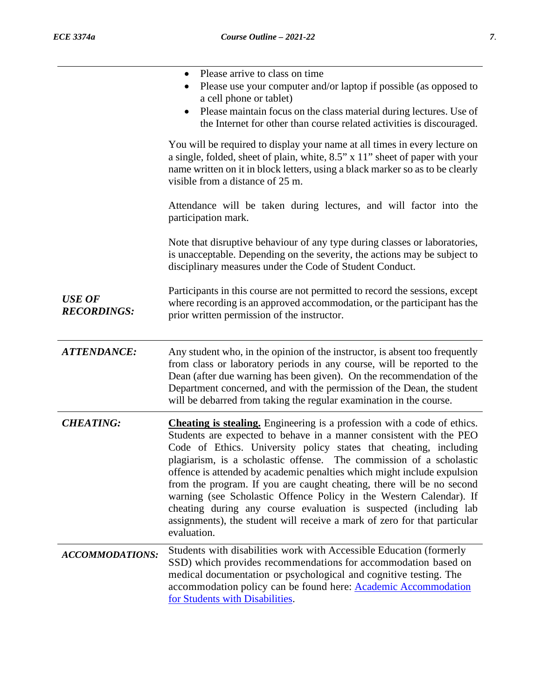|                                     | Please arrive to class on time<br>Please use your computer and/or laptop if possible (as opposed to<br>a cell phone or tablet)<br>Please maintain focus on the class material during lectures. Use of<br>٠<br>the Internet for other than course related activities is discouraged.<br>You will be required to display your name at all times in every lecture on                                                                                                                                                                                                                                                                                                                              |
|-------------------------------------|------------------------------------------------------------------------------------------------------------------------------------------------------------------------------------------------------------------------------------------------------------------------------------------------------------------------------------------------------------------------------------------------------------------------------------------------------------------------------------------------------------------------------------------------------------------------------------------------------------------------------------------------------------------------------------------------|
|                                     | a single, folded, sheet of plain, white, 8.5" x 11" sheet of paper with your<br>name written on it in block letters, using a black marker so as to be clearly<br>visible from a distance of 25 m.                                                                                                                                                                                                                                                                                                                                                                                                                                                                                              |
|                                     | Attendance will be taken during lectures, and will factor into the<br>participation mark.                                                                                                                                                                                                                                                                                                                                                                                                                                                                                                                                                                                                      |
|                                     | Note that disruptive behaviour of any type during classes or laboratories,<br>is unacceptable. Depending on the severity, the actions may be subject to<br>disciplinary measures under the Code of Student Conduct.                                                                                                                                                                                                                                                                                                                                                                                                                                                                            |
| <b>USE OF</b><br><b>RECORDINGS:</b> | Participants in this course are not permitted to record the sessions, except<br>where recording is an approved accommodation, or the participant has the<br>prior written permission of the instructor.                                                                                                                                                                                                                                                                                                                                                                                                                                                                                        |
| <b>ATTENDANCE:</b>                  | Any student who, in the opinion of the instructor, is absent too frequently<br>from class or laboratory periods in any course, will be reported to the                                                                                                                                                                                                                                                                                                                                                                                                                                                                                                                                         |
|                                     | Dean (after due warning has been given). On the recommendation of the<br>Department concerned, and with the permission of the Dean, the student<br>will be debarred from taking the regular examination in the course.                                                                                                                                                                                                                                                                                                                                                                                                                                                                         |
| <b>CHEATING:</b>                    | <b>Cheating is stealing.</b> Engineering is a profession with a code of ethics.<br>Students are expected to behave in a manner consistent with the PEO<br>Code of Ethics. University policy states that cheating, including<br>plagiarism, is a scholastic offense. The commission of a scholastic<br>offence is attended by academic penalties which might include expulsion<br>from the program. If you are caught cheating, there will be no second<br>warning (see Scholastic Offence Policy in the Western Calendar). If<br>cheating during any course evaluation is suspected (including lab<br>assignments), the student will receive a mark of zero for that particular<br>evaluation. |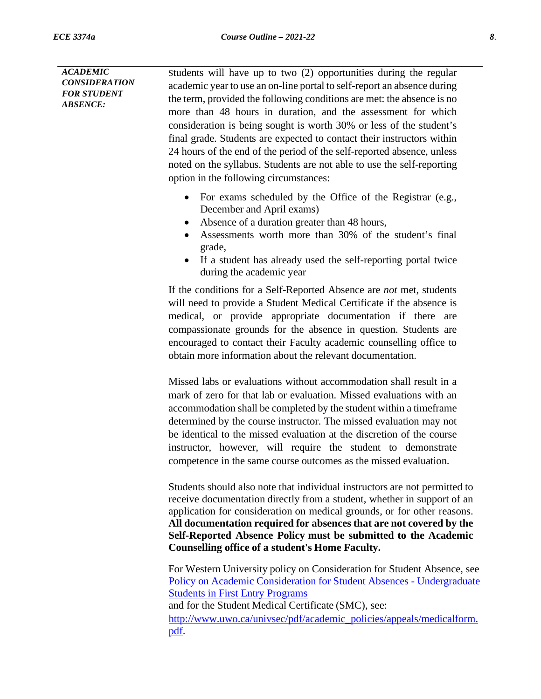*ACADEMIC CONSIDERATION FOR STUDENT ABSENCE:* Students will have up to two (2) opportunities during the regular academic year to use an on-line portal to self-report an absence during the term, provided the following conditions are met: the absence is no more than 48 hours in duration, and the assessment for which consideration is being sought is worth 30% or less of the student's final grade. Students are expected to contact their instructors within 24 hours of the end of the period of the self-reported absence, unless noted on the syllabus. Students are not able to use the self-reporting option in the following circumstances: • For exams scheduled by the Office of the Registrar (e.g., December and April exams) • Absence of a duration greater than 48 hours, • Assessments worth more than 30% of the student's final grade, • If a student has already used the self-reporting portal twice during the academic year If the conditions for a Self-Reported Absence are *not* met, students will need to provide a Student Medical Certificate if the absence is medical, or provide appropriate documentation if there are compassionate grounds for the absence in question. Students are encouraged to contact their Faculty academic counselling office to obtain more information about the relevant documentation. Missed labs or evaluations without accommodation shall result in a mark of zero for that lab or evaluation. Missed evaluations with an accommodation shall be completed by the student within a timeframe determined by the course instructor. The missed evaluation may not be identical to the missed evaluation at the discretion of the course instructor, however, will require the student to demonstrate competence in the same course outcomes as the missed evaluation. Students should also note that individual instructors are not permitted to receive documentation directly from a student, whether in support of an application for consideration on medical grounds, or for other reasons. **All documentation required for absences that are not covered by the Self-Reported Absence Policy must be submitted to the Academic**

> For Western University policy on Consideration for Student Absence, see [Policy on Academic Consideration for Student Absences -](https://www.uwo.ca/univsec/pdf/academic_policies/appeals/Academic_Consideration_for_absences.pdf) Undergraduate [Students in First Entry Programs](https://www.uwo.ca/univsec/pdf/academic_policies/appeals/Academic_Consideration_for_absences.pdf) and for the Student Medical Certificate (SMC), see: [http://www.uwo.ca/univsec/pdf/academic\\_policies/appeals/medicalform.](http://www.uwo.ca/univsec/pdf/academic_policies/appeals/medicalform.pdf) [pdf.](http://www.uwo.ca/univsec/pdf/academic_policies/appeals/medicalform.pdf)

**Counselling office of a student's Home Faculty.**